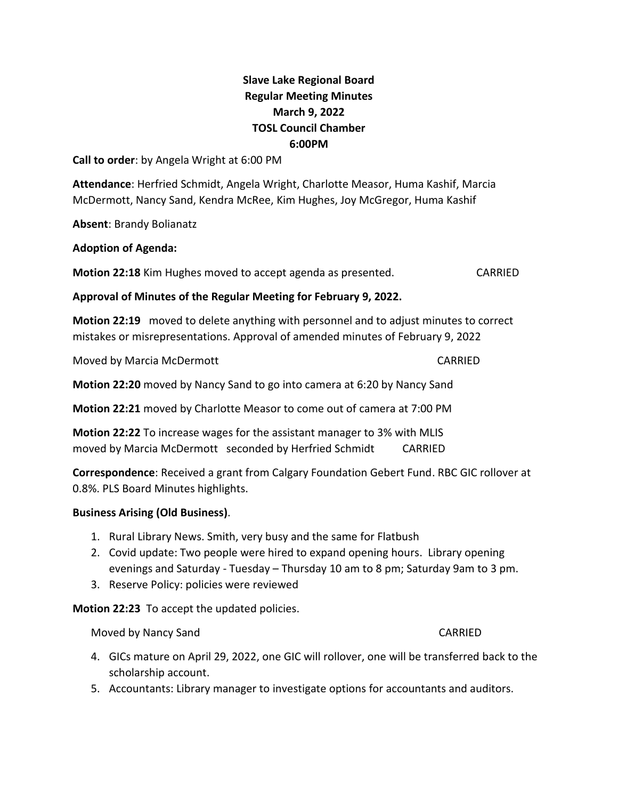## **Slave Lake Regional Board Regular Meeting Minutes March 9, 2022 TOSL Council Chamber 6:00PM**

**Call to order**: by Angela Wright at 6:00 PM

**Attendance**: Herfried Schmidt, Angela Wright, Charlotte Measor, Huma Kashif, Marcia McDermott, Nancy Sand, Kendra McRee, Kim Hughes, Joy McGregor, Huma Kashif

**Absent**: Brandy Bolianatz

**Adoption of Agenda:** 

**Motion 22:18** Kim Hughes moved to accept agenda as presented. CARRIED

**Approval of Minutes of the Regular Meeting for February 9, 2022.**

**Motion 22:19** moved to delete anything with personnel and to adjust minutes to correct mistakes or misrepresentations. Approval of amended minutes of February 9, 2022

Moved by Marcia McDermott **CARRIED** 

**Motion 22:20** moved by Nancy Sand to go into camera at 6:20 by Nancy Sand

**Motion 22:21** moved by Charlotte Measor to come out of camera at 7:00 PM

**Motion 22:22** To increase wages for the assistant manager to 3% with MLIS moved by Marcia McDermott seconded by Herfried Schmidt CARRIED

**Correspondence**: Received a grant from Calgary Foundation Gebert Fund. RBC GIC rollover at 0.8%. PLS Board Minutes highlights.

## **Business Arising (Old Business)**.

- 1. Rural Library News. Smith, very busy and the same for Flatbush
- 2. Covid update: Two people were hired to expand opening hours. Library opening evenings and Saturday - Tuesday – Thursday 10 am to 8 pm; Saturday 9am to 3 pm.
- 3. Reserve Policy: policies were reviewed

**Motion 22:23** To accept the updated policies.

Moved by Nancy Sand CARRIED

- 4. GICs mature on April 29, 2022, one GIC will rollover, one will be transferred back to the scholarship account.
- 5. Accountants: Library manager to investigate options for accountants and auditors.